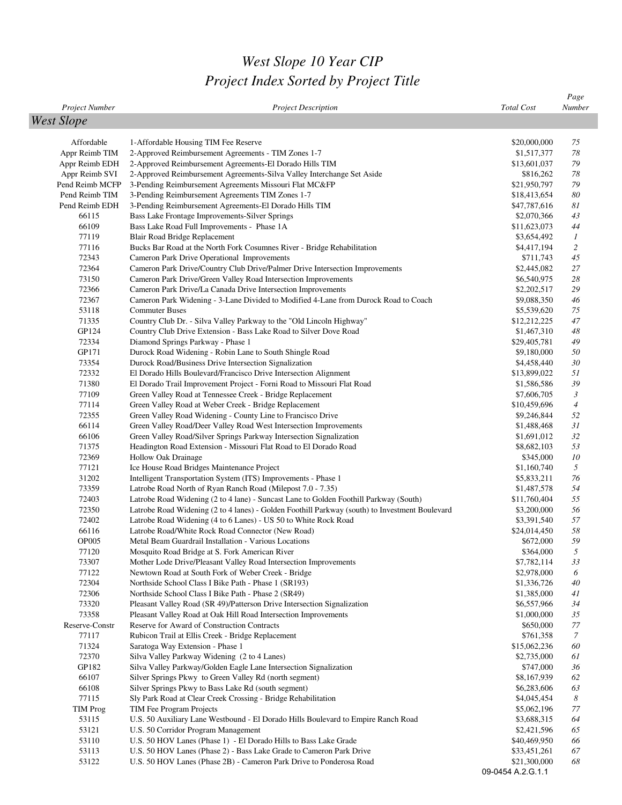## *West Slope 10 Year CIP Project Index Sorted by Project Title*

|                   |                                                                                                                               |                                   | Page             |
|-------------------|-------------------------------------------------------------------------------------------------------------------------------|-----------------------------------|------------------|
| Project Number    | <b>Project Description</b>                                                                                                    | <b>Total Cost</b>                 | Number           |
| <b>West Slope</b> |                                                                                                                               |                                   |                  |
|                   |                                                                                                                               |                                   |                  |
| Affordable        | 1-Affordable Housing TIM Fee Reserve                                                                                          | \$20,000,000                      | 75               |
| Appr Reimb TIM    | 2-Approved Reimbursement Agreements - TIM Zones 1-7                                                                           | \$1,517,377                       | 78               |
| Appr Reimb EDH    | 2-Approved Reimbursement Agreements-El Dorado Hills TIM                                                                       | \$13,601,037                      | 79               |
| Appr Reimb SVI    | 2-Approved Reimbursement Agreements-Silva Valley Interchange Set Aside                                                        | \$816,262                         | 78               |
| Pend Reimb MCFP   | 3-Pending Reimbursement Agreements Missouri Flat MC&FP                                                                        | \$21,950,797                      | 79               |
| Pend Reimb TIM    | 3-Pending Reimbursement Agreements TIM Zones 1-7                                                                              | \$18,413,654                      | 80               |
| Pend Reimb EDH    | 3-Pending Reimbursement Agreements-El Dorado Hills TIM                                                                        | \$47,787,616                      | 81               |
| 66115             | Bass Lake Frontage Improvements-Silver Springs                                                                                | \$2,070,366                       | 43               |
| 66109             | Bass Lake Road Full Improvements - Phase 1A                                                                                   | \$11,623,073                      | 44               |
| 77119             | Blair Road Bridge Replacement                                                                                                 | \$3,654,492                       | $\boldsymbol{l}$ |
| 77116             | Bucks Bar Road at the North Fork Cosumnes River - Bridge Rehabilitation                                                       | \$4,417,194                       | 2                |
| 72343             | Cameron Park Drive Operational Improvements                                                                                   | \$711,743                         | 45               |
| 72364             | Cameron Park Drive/Country Club Drive/Palmer Drive Intersection Improvements                                                  | \$2,445,082                       | 27               |
| 73150             | Cameron Park Drive/Green Valley Road Intersection Improvements                                                                | \$6,540,975                       | 28               |
| 72366             | Cameron Park Drive/La Canada Drive Intersection Improvements                                                                  | \$2,202,517                       | 29               |
| 72367             | Cameron Park Widening - 3-Lane Divided to Modified 4-Lane from Durock Road to Coach                                           | \$9,088,350                       | 46               |
| 53118             | <b>Commuter Buses</b>                                                                                                         | \$5,539,620                       | 75               |
| 71335             | Country Club Dr. - Silva Valley Parkway to the "Old Lincoln Highway"                                                          | \$12,212,225                      | 47               |
| GP124             | Country Club Drive Extension - Bass Lake Road to Silver Dove Road                                                             | \$1,467,310                       | 48               |
| 72334             | Diamond Springs Parkway - Phase 1                                                                                             | \$29,405,781                      | 49               |
| GP171             | Durock Road Widening - Robin Lane to South Shingle Road                                                                       | \$9,180,000                       | 50               |
| 73354             | Durock Road/Business Drive Intersection Signalization                                                                         | \$4,458,440                       | 30               |
| 72332             | El Dorado Hills Boulevard/Francisco Drive Intersection Alignment                                                              | \$13,899,022                      | 51               |
| 71380             | El Dorado Trail Improvement Project - Forni Road to Missouri Flat Road                                                        | \$1,586,586                       | 39               |
| 77109             | Green Valley Road at Tennessee Creek - Bridge Replacement                                                                     | \$7,606,705                       | 3                |
| 77114             | Green Valley Road at Weber Creek - Bridge Replacement                                                                         | \$10,459,696                      | $\overline{4}$   |
| 72355             | Green Valley Road Widening - County Line to Francisco Drive                                                                   | \$9,246,844                       | 52               |
| 66114             | Green Valley Road/Deer Valley Road West Intersection Improvements                                                             | \$1,488,468                       | 31               |
| 66106             | Green Valley Road/Silver Springs Parkway Intersection Signalization                                                           | \$1,691,012                       | 32               |
| 71375             | Headington Road Extension - Missouri Flat Road to El Dorado Road                                                              | \$8,682,103                       | 53               |
| 72369             | Hollow Oak Drainage                                                                                                           | \$345,000                         | 10               |
| 77121             | Ice House Road Bridges Maintenance Project                                                                                    | \$1,160,740                       | 5<br>76          |
| 31202<br>73359    | Intelligent Transportation System (ITS) Improvements - Phase 1<br>Latrobe Road North of Ryan Ranch Road (Milepost 7.0 - 7.35) | \$5,833,211<br>\$1,487,578        | 54               |
| 72403             | Latrobe Road Widening (2 to 4 lane) - Suncast Lane to Golden Foothill Parkway (South)                                         | \$11,760,404                      | 55               |
| 72350             | Latrobe Road Widening (2 to 4 lanes) - Golden Foothill Parkway (south) to Investment Boulevard                                | \$3,200,000                       | 56               |
| 72402             | Latrobe Road Widening (4 to 6 Lanes) - US 50 to White Rock Road                                                               | \$3,391,540                       | 57               |
| 66116             | Latrobe Road/White Rock Road Connector (New Road)                                                                             | \$24,014,450                      | 58               |
| <b>OP005</b>      | Metal Beam Guardrail Installation - Various Locations                                                                         | \$672,000                         | 59               |
| 77120             | Mosquito Road Bridge at S. Fork American River                                                                                | \$364,000                         | 5                |
| 73307             | Mother Lode Drive/Pleasant Valley Road Intersection Improvements                                                              | \$7,782,114                       | 33               |
| 77122             | Newtown Road at South Fork of Weber Creek - Bridge                                                                            | \$2,978,000                       | 6                |
| 72304             | Northside School Class I Bike Path - Phase 1 (SR193)                                                                          | \$1,336,726                       | 40               |
| 72306             | Northside School Class I Bike Path - Phase 2 (SR49)                                                                           | \$1,385,000                       | 41               |
| 73320             | Pleasant Valley Road (SR 49)/Patterson Drive Intersection Signalization                                                       | \$6,557,966                       | 34               |
| 73358             | Pleasant Valley Road at Oak Hill Road Intersection Improvements                                                               | \$1,000,000                       | 35               |
| Reserve-Constr    | Reserve for Award of Construction Contracts                                                                                   | \$650,000                         | 77               |
| 77117             | Rubicon Trail at Ellis Creek - Bridge Replacement                                                                             | \$761,358                         | 7                |
| 71324             | Saratoga Way Extension - Phase 1                                                                                              | \$15,062,236                      | 60               |
| 72370             | Silva Valley Parkway Widening (2 to 4 Lanes)                                                                                  | \$2,735,000                       | 61               |
| GP182             | Silva Valley Parkway/Golden Eagle Lane Intersection Signalization                                                             | \$747,000                         | 36               |
| 66107             | Silver Springs Pkwy to Green Valley Rd (north segment)                                                                        | \$8,167,939                       | 62               |
| 66108             | Silver Springs Pkwy to Bass Lake Rd (south segment)                                                                           | \$6,283,606                       | 63               |
| 77115             | Sly Park Road at Clear Creek Crossing - Bridge Rehabilitation                                                                 | \$4,045,454                       | 8                |
| TIM Prog          | TIM Fee Program Projects                                                                                                      | \$5,062,196                       | 77               |
| 53115             | U.S. 50 Auxiliary Lane Westbound - El Dorado Hills Boulevard to Empire Ranch Road                                             | \$3,688,315                       | 64               |
| 53121             | U.S. 50 Corridor Program Management                                                                                           | \$2,421,596                       | 65               |
| 53110             | U.S. 50 HOV Lanes (Phase 1) - El Dorado Hills to Bass Lake Grade                                                              | \$40,469,950                      | 66               |
| 53113             | U.S. 50 HOV Lanes (Phase 2) - Bass Lake Grade to Cameron Park Drive                                                           | \$33,451,261                      | 67               |
| 53122             | U.S. 50 HOV Lanes (Phase 2B) - Cameron Park Drive to Ponderosa Road                                                           | \$21,300,000<br>09-0454 A.2.G.1.1 | 68               |